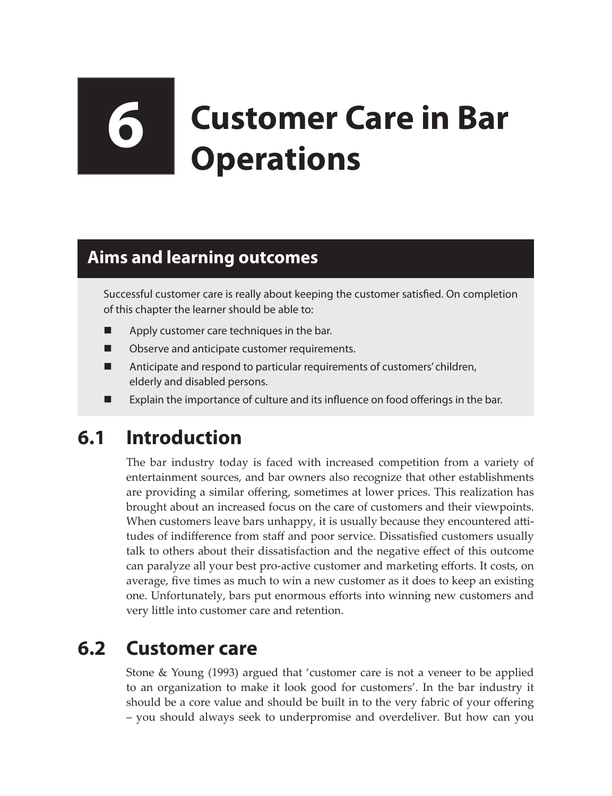# **6 Customer Care in Bar Operations**

#### **Aims and learning outcomes**

Successful customer care is really about keeping the customer satisfied. On completion of this chapter the learner should be able to:

- Apply customer care techniques in the bar.
- **Definitive** Observe and anticipate customer requirements.
- Anticipate and respond to particular requirements of customers' children, elderly and disabled persons.
- Explain the importance of culture and its influence on food offerings in the bar.

## **6.1 Introduction**

The bar industry today is faced with increased competition from a variety of entertainment sources, and bar owners also recognize that other establishments are providing a similar offering, sometimes at lower prices. This realization has brought about an increased focus on the care of customers and their viewpoints. When customers leave bars unhappy, it is usually because they encountered attitudes of indifference from staff and poor service. Dissatisfied customers usually talk to others about their dissatisfaction and the negative effect of this outcome can paralyze all your best pro-active customer and marketing efforts. It costs, on average, five times as much to win a new customer as it does to keep an existing one. Unfortunately, bars put enormous efforts into winning new customers and very little into customer care and retention.

## **6.2 Customer care**

Stone & Young (1993) argued that 'customer care is not a veneer to be applied to an organization to make it look good for customers'. In the bar industry it should be a core value and should be built in to the very fabric of your offering – you should always seek to underpromise and overdeliver. But how can you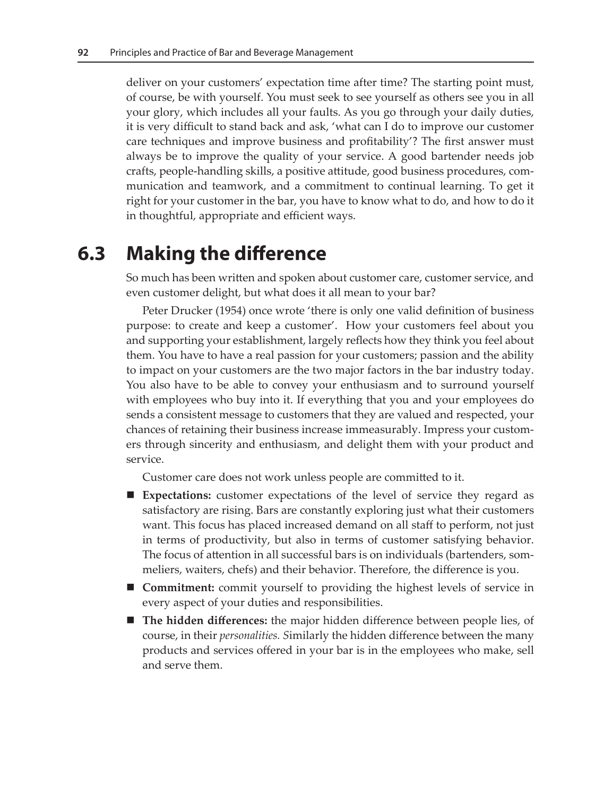deliver on your customers' expectation time after time? The starting point must, of course, be with yourself. You must seek to see yourself as others see you in all your glory, which includes all your faults. As you go through your daily duties, it is very difficult to stand back and ask, 'what can I do to improve our customer care techniques and improve business and profitability'? The first answer must always be to improve the quality of your service. A good bartender needs job crafts, people-handling skills, a positive attitude, good business procedures, communication and teamwork, and a commitment to continual learning. To get it right for your customer in the bar, you have to know what to do, and how to do it in thoughtful, appropriate and efficient ways.

### **6.3 Making the difference**

So much has been written and spoken about customer care, customer service, and even customer delight, but what does it all mean to your bar?

Peter Drucker (1954) once wrote 'there is only one valid definition of business purpose: to create and keep a customer'. How your customers feel about you and supporting your establishment, largely reflects how they think you feel about them. You have to have a real passion for your customers; passion and the ability to impact on your customers are the two major factors in the bar industry today. You also have to be able to convey your enthusiasm and to surround yourself with employees who buy into it. If everything that you and your employees do sends a consistent message to customers that they are valued and respected, your chances of retaining their business increase immeasurably. Impress your customers through sincerity and enthusiasm, and delight them with your product and service.

Customer care does not work unless people are committed to it.

- **Expectations:** customer expectations of the level of service they regard as satisfactory are rising. Bars are constantly exploring just what their customers want. This focus has placed increased demand on all staff to perform, not just in terms of productivity, but also in terms of customer satisfying behavior. The focus of attention in all successful bars is on individuals (bartenders, sommeliers, waiters, chefs) and their behavior. Therefore, the difference is you.
- **Commitment:** commit yourself to providing the highest levels of service in every aspect of your duties and responsibilities.
- **The hidden differences:** the major hidden difference between people lies, of course, in their *personalities. S*imilarly the hidden difference between the many products and services offered in your bar is in the employees who make, sell and serve them.